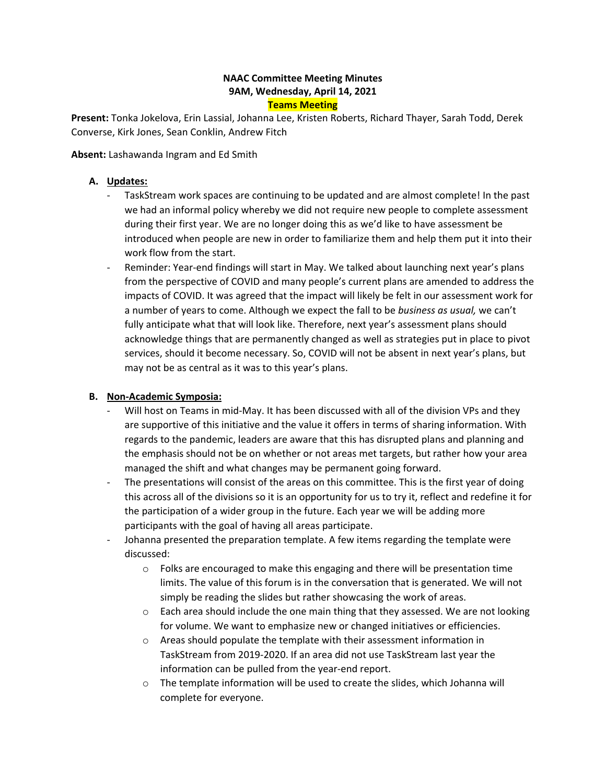### **NAAC Committee Meeting Minutes 9AM, Wednesday, April 14, 2021 Teams Meeting**

**Present:** Tonka Jokelova, Erin Lassial, Johanna Lee, Kristen Roberts, Richard Thayer, Sarah Todd, Derek Converse, Kirk Jones, Sean Conklin, Andrew Fitch

**Absent:** Lashawanda Ingram and Ed Smith

### **A. Updates:**

- we had an informal policy whereby we did not require new people to complete assessment introduced when people are new in order to familiarize them and help them put it into their - TaskStream work spaces are continuing to be updated and are almost complete! In the past during their first year. We are no longer doing this as we'd like to have assessment be work flow from the start.
- - Reminder: Year-end findings will start in May. We talked about launching next year's plans from the perspective of COVID and many people's current plans are amended to address the impacts of COVID. It was agreed that the impact will likely be felt in our assessment work for a number of years to come. Although we expect the fall to be *business as usual,* we can't fully anticipate what that will look like. Therefore, next year's assessment plans should acknowledge things that are permanently changed as well as strategies put in place to pivot services, should it become necessary. So, COVID will not be absent in next year's plans, but may not be as central as it was to this year's plans.

#### **B. Non-Academic Symposia:**

- - Will host on Teams in mid-May. It has been discussed with all of the division VPs and they are supportive of this initiative and the value it offers in terms of sharing information. With regards to the pandemic, leaders are aware that this has disrupted plans and planning and the emphasis should not be on whether or not areas met targets, but rather how your area managed the shift and what changes may be permanent going forward.
- the participation of a wider group in the future. Each year we will be adding more participants with the goal of having all areas participate. - The presentations will consist of the areas on this committee. This is the first year of doing this across all of the divisions so it is an opportunity for us to try it, reflect and redefine it for
- Johanna presented the preparation template. A few items regarding the template were discussed:
	- $\circ$  Folks are encouraged to make this engaging and there will be presentation time limits. The value of this forum is in the conversation that is generated. We will not simply be reading the slides but rather showcasing the work of areas.
	- $\circ$  Each area should include the one main thing that they assessed. We are not looking for volume. We want to emphasize new or changed initiatives or efficiencies.
	- TaskStream from 2019-2020. If an area did not use TaskStream last year the o Areas should populate the template with their assessment information in information can be pulled from the year-end report.
	- $\circ$  The template information will be used to create the slides, which Johanna will complete for everyone.